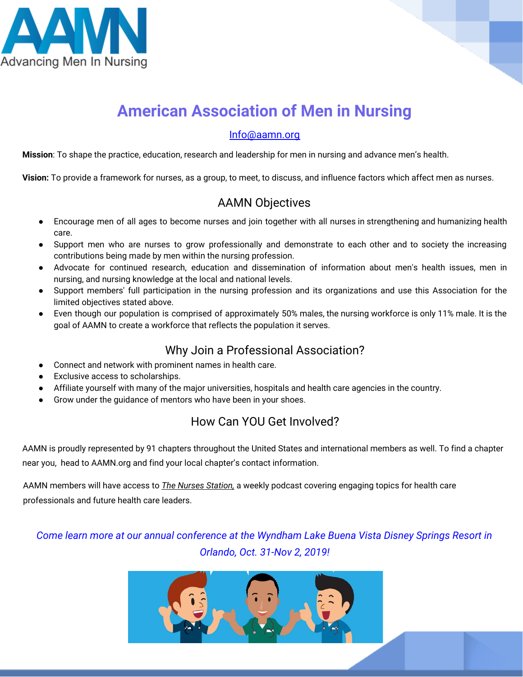

## **American Association of Men in Nursing**

#### Info@aamn.org

**Mission**: To shape the practice, education, research and leadership for men in nursing and advance men's health.

**Vision:** To provide a framework for nurses, as a group, to meet, to discuss, and influence factors which affect men as nurses.

### AAMN Objectives

- Encourage men of all ages to become nurses and join together with all nurses in strengthening and humanizing health care.
- Support men who are nurses to grow professionally and demonstrate to each other and to society the increasing contributions being made by men within the nursing profession.
- Advocate for continued research, education and dissemination of information about men's health issues, men in nursing, and nursing knowledge at the local and national levels.
- Support members' full participation in the nursing profession and its organizations and use this Association for the limited objectives stated above.
- Even though our population is comprised of approximately 50% males, the nursing workforce is only 11% male. It is the goal of AAMN to create a workforce that reflects the population it serves.

### Why Join a Professional Association?

- Connect and network with prominent names in health care.
- Exclusive access to scholarships.
- Affiliate yourself with many of the major universities, hospitals and health care agencies in the country.
- Grow under the guidance of mentors who have been in your shoes.

### How Can YOU Get Involved?

AAMN is proudly represented by 91 chapters throughout the United States and international members as well. To find a chapter near you, head to AAMN.org and find your local chapter's contact information.

AAMN members will have access to *The Nurses Station,* a weekly podcast covering engaging topics for health care professionals and future health care leaders.

*Come learn more at our annual conference at the Wyndham Lake Buena Vista Disney Springs Resort in Orlando, Oct. 31-Nov 2, 2019!*